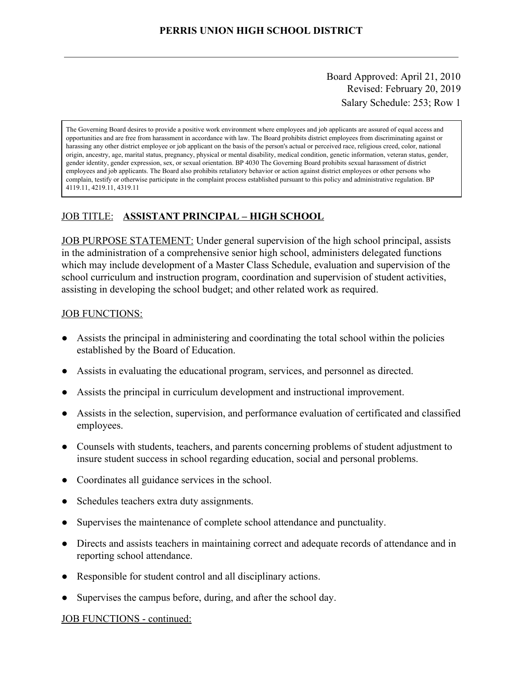Board Approved: April 21, 2010 Revised: February 20, 2019 Salary Schedule: 253; Row 1

The Governing Board desires to provide a positive work environment where employees and job applicants are assured of equal access and opportunities and are free from harassment in accordance with law. The Board prohibits district employees from discriminating against or harassing any other district employee or job applicant on the basis of the person's actual or perceived race, religious creed, color, national origin, ancestry, age, marital status, pregnancy, physical or mental disability, medical condition, genetic information, veteran status, gender, gender identity, gender expression, sex, or sexual orientation. BP 4030 The Governing Board prohibits sexual harassment of district employees and job applicants. The Board also prohibits retaliatory behavior or action against district employees or other persons who complain, testify or otherwise participate in the complaint process established pursuant to this policy and administrative regulation. BP 4119.11, 4219.11, 4319.11

## JOB TITLE: **ASSISTANT PRINCIPAL – HIGH SCHOOL**

JOB PURPOSE STATEMENT: Under general supervision of the high school principal, assists in the administration of a comprehensive senior high school, administers delegated functions which may include development of a Master Class Schedule, evaluation and supervision of the school curriculum and instruction program, coordination and supervision of student activities, assisting in developing the school budget; and other related work as required.

#### JOB FUNCTIONS:

- Assists the principal in administering and coordinating the total school within the policies established by the Board of Education.
- Assists in evaluating the educational program, services, and personnel as directed.
- Assists the principal in curriculum development and instructional improvement.
- Assists in the selection, supervision, and performance evaluation of certificated and classified employees.
- Counsels with students, teachers, and parents concerning problems of student adjustment to insure student success in school regarding education, social and personal problems.
- Coordinates all guidance services in the school.
- Schedules teachers extra duty assignments.
- Supervises the maintenance of complete school attendance and punctuality.
- Directs and assists teachers in maintaining correct and adequate records of attendance and in reporting school attendance.
- Responsible for student control and all disciplinary actions.
- Supervises the campus before, during, and after the school day.

#### JOB FUNCTIONS - continued: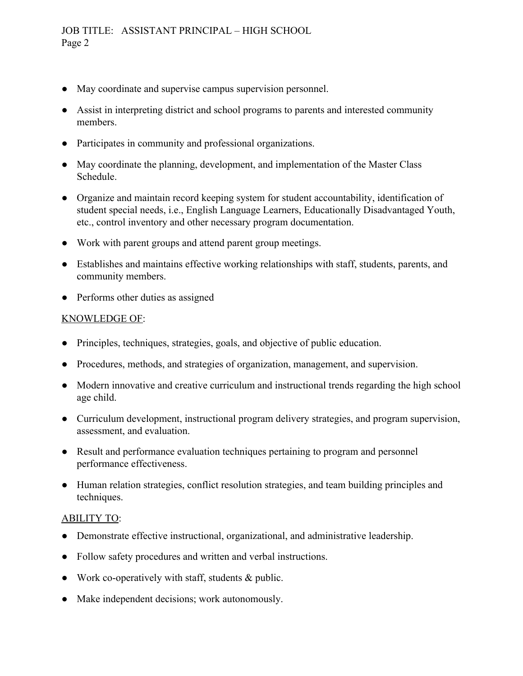- May coordinate and supervise campus supervision personnel.
- Assist in interpreting district and school programs to parents and interested community members.
- Participates in community and professional organizations.
- May coordinate the planning, development, and implementation of the Master Class Schedule.
- Organize and maintain record keeping system for student accountability, identification of student special needs, i.e., English Language Learners, Educationally Disadvantaged Youth, etc., control inventory and other necessary program documentation.
- Work with parent groups and attend parent group meetings.
- Establishes and maintains effective working relationships with staff, students, parents, and community members.
- Performs other duties as assigned

## KNOWLEDGE OF:

- Principles, techniques, strategies, goals, and objective of public education.
- Procedures, methods, and strategies of organization, management, and supervision.
- Modern innovative and creative curriculum and instructional trends regarding the high school age child.
- Curriculum development, instructional program delivery strategies, and program supervision, assessment, and evaluation.
- Result and performance evaluation techniques pertaining to program and personnel performance effectiveness.
- Human relation strategies, conflict resolution strategies, and team building principles and techniques.

### ABILITY TO:

- Demonstrate effective instructional, organizational, and administrative leadership.
- Follow safety procedures and written and verbal instructions.
- Work co-operatively with staff, students  $&$  public.
- Make independent decisions; work autonomously.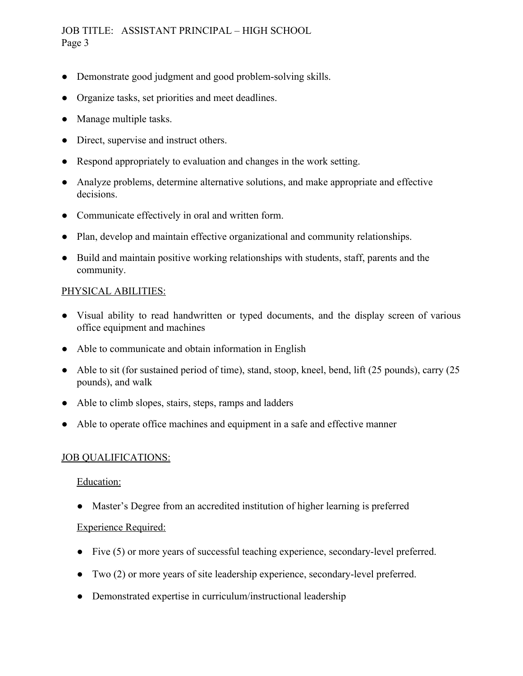JOB TITLE: ASSISTANT PRINCIPAL – HIGH SCHOOL Page 3

- Demonstrate good judgment and good problem-solving skills.
- Organize tasks, set priorities and meet deadlines.
- Manage multiple tasks.
- Direct, supervise and instruct others.
- Respond appropriately to evaluation and changes in the work setting.
- Analyze problems, determine alternative solutions, and make appropriate and effective decisions.
- Communicate effectively in oral and written form.
- Plan, develop and maintain effective organizational and community relationships.
- Build and maintain positive working relationships with students, staff, parents and the community.

### PHYSICAL ABILITIES:

- Visual ability to read handwritten or typed documents, and the display screen of various office equipment and machines
- Able to communicate and obtain information in English
- Able to sit (for sustained period of time), stand, stoop, kneel, bend, lift (25 pounds), carry (25 pounds), and walk
- Able to climb slopes, stairs, steps, ramps and ladders
- Able to operate office machines and equipment in a safe and effective manner

### JOB QUALIFICATIONS:

### Education:

● Master's Degree from an accredited institution of higher learning is preferred

# Experience Required:

- Five (5) or more years of successful teaching experience, secondary-level preferred.
- Two (2) or more years of site leadership experience, secondary-level preferred.
- Demonstrated expertise in curriculum/instructional leadership